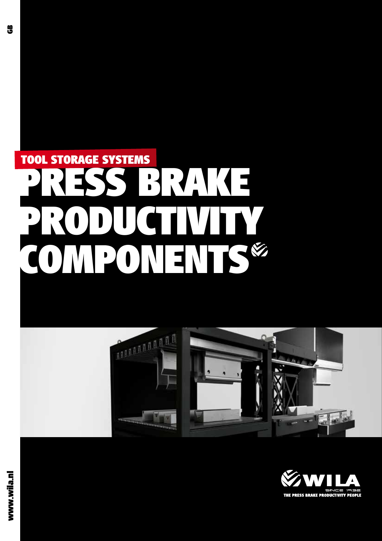# **PRESS BRAKE PRODUCTIVITY COMPONENTSŽ TOOL STORAGE SYSTEMS**



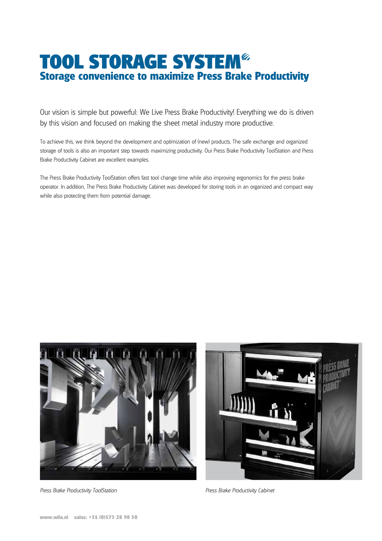### **TOOL STORAGE SYSTEMŽ Storage convenience to maximize Press Brake Productivity**

Our vision is simple but powerful: We Live Press Brake Productivity! Everything we do is driven by this vision and focused on making the sheet metal industry more productive.

To achieve this, we think beyond the development and optimization of (new) products. The safe exchange and organized storage of tools is also an important step towards maximizing productivity. Our Press Brake Productivity ToolStation and Press Brake Productivity Cabinet are excellent examples.

The Press Brake Productivity ToolStation offers fast tool change time while also improving ergonomics for the press brake operator. In addition, The Press Brake Productivity Cabinet was developed for storing tools in an organized and compact way while also protecting them from potential damage.



Press Brake Productivity ToolStation **Press Brake Productivity Cabinet** Press Brake Productivity Cabinet

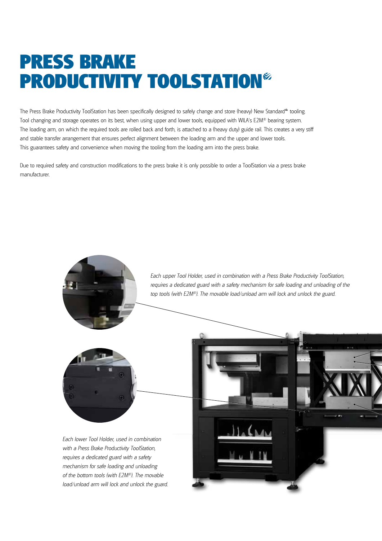### **PRESS BRAKE PRODUCTIVITY TOOLSTATIONŽ**

The Press Brake Productivity ToolStation has been specifically designed to safely change and store (heavy) New Standard® tooling. Tool changing and storage operates on its best, when using upper and lower tools, equipped with WILA's E2M® bearing system. The loading arm, on which the required tools are rolled back and forth, is attached to a (heavy duty) guide rail. This creates a very stiff and stable transfer arrangement that ensures perfect alignment between the loading arm and the upper and lower tools. This guarantees safety and convenience when moving the tooling from the loading arm into the press brake.

Due to required safety and construction modifications to the press brake it is only possible to order a ToolStation via a press brake manufacturer.

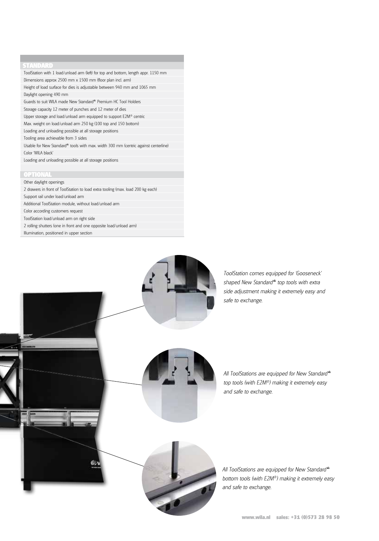#### **STANDARD**

ToolStation with 1 load/unload arm (left) for top and bottom, length appr. 1150 mm Dimensions approx 2500 mm x 1500 mm (floor plan incl. arm) Height of load surface for dies is adjustable between 940 mm and 1065 mm Daylight opening 490 mm Guards to suit WILA made New Standard® Premium HC Tool Holders Storage capacity 12 meter of punches and 12 meter of dies Upper storage and load/unload arm equipped to support E2M® centric Max. weight on load/unload arm 250 kg (100 top and 150 bottom) Loading and unloading possible at all storage positions Tooling area achievable from 3 sides Usable for New Standard<sup>®</sup> tools with max. width 300 mm (centric against centerline) Color 'WILA black' Loading and unloading possible at all storage positions

#### **OPTIONAL**

Other daylight openings 2 drawers in front of ToolStation to load extra tooling (max. load 200 kg each) Support rail under load/unload arm Additional ToolStation module, without load/unload arm Color according customers request ToolStation load/unload arm on right side 2 rolling shutters (one in front and one opposite load/unload arm) Illumination, positioned in upper section



ToolStation comes equipped for 'Gooseneck' shaped New Standard® top tools with extra side adjustment making it extremely easy and

All ToolStations are equipped for New Standard® top tools (with E2M®) making it extremely easy and safe to exchange.

All ToolStations are equipped for New Standard® bottom tools (with E2M®) making it extremely easy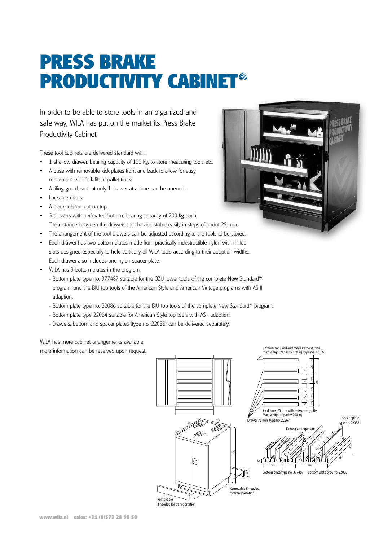## **PRESS BRAKE PRODUCTIVITY CABINET**

In order to be able to store tools in an organized and safe way, WILA has put on the market its Press Brake Productivity Cabinet.

These tool cabinets are delivered standard with:

- 1 shallow drawer, bearing capacity of 100 kg, to store measuring tools etc.
- A base with removable kick plates front and back to allow for easy movement with fork-lift or pallet truck.
- A tiling guard, so that only 1 drawer at a time can be opened.
- Lockable doors.
- A black rubber mat on top.
- 5 drawers with perforated bottom, bearing capacity of 200 kg each. The distance between the drawers can be adjustable easily in steps of about 25 mm.
- The arrangement of the tool drawers can be adjusted according to the tools to be stored.
- Each drawer has two bottom plates made from practically indestructible nylon with milled
- slots designed especially to hold vertically all WILA tools according to their adaption widths. Each drawer also includes one nylon spacer plate.
- WILA has 3 bottom plates in the program.
	- Bottom plate type no. 377487 suitable for the OZU lower tools of the complete New Standard® program, and the BIU top tools of the American Style and American Vintage programs with AS II adaption.
	- Bottom plate type no. 22086 suitable for the BIU top tools of the complete New Standard® program.
	- Bottom plate type 22084 suitable for American Style top tools with AS I adaption.
	- Drawers, bottom and spacer plates (type no. 22088) can be delivered separately.

WILA has more cabinet arrangements available, more information can be received upon request.



if needed for transportation